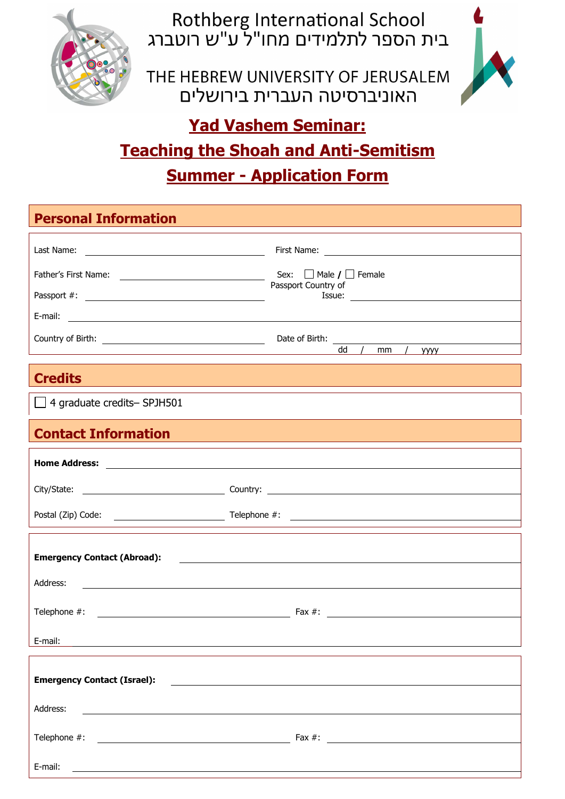

Rothberg International School<br>בית הספר לתלמידים מחו"ל ע"ש רוטברג

THE HEBREW UNIVERSITY OF JERUSALEM האוניברסיטה העברית בירושלים



## **Yad Vashem Seminar: Teaching the Shoah and Anti-Semitism Summer - Application Form**

| <b>Personal Information</b>                                                                                                       |                                                                          |
|-----------------------------------------------------------------------------------------------------------------------------------|--------------------------------------------------------------------------|
|                                                                                                                                   |                                                                          |
|                                                                                                                                   |                                                                          |
|                                                                                                                                   | Passport Country of                                                      |
|                                                                                                                                   |                                                                          |
|                                                                                                                                   | dd / mm / yyy                                                            |
|                                                                                                                                   |                                                                          |
| <b>Credits</b>                                                                                                                    |                                                                          |
| $\Box$ 4 graduate credits-SPJH501                                                                                                 |                                                                          |
| <b>Contact Information</b>                                                                                                        |                                                                          |
|                                                                                                                                   |                                                                          |
|                                                                                                                                   |                                                                          |
|                                                                                                                                   |                                                                          |
|                                                                                                                                   |                                                                          |
| <b>Emergency Contact (Abroad):</b>                                                                                                | <u> 1980 - Andrea Andrew Maria (h. 1980).</u>                            |
| Address:<br><u> 1989 - Jan Samuel Barbara, margaret e populari e populari e populari e populari e populari e populari e pop</u>   |                                                                          |
|                                                                                                                                   |                                                                          |
|                                                                                                                                   |                                                                          |
| E-mail:                                                                                                                           |                                                                          |
| <b>Emergency Contact (Israel):</b>                                                                                                | <u> 1989 - Andrea Station, amerikan bizko eta politikaria (h. 1989).</u> |
|                                                                                                                                   |                                                                          |
| Address:<br><u> 1989 - Johann Barn, mars ann an t-Amhain Aonaichte ann an t-Aonaichte ann an t-Aonaichte ann an t-Aonaichte a</u> |                                                                          |
|                                                                                                                                   |                                                                          |
| E-mail:                                                                                                                           |                                                                          |